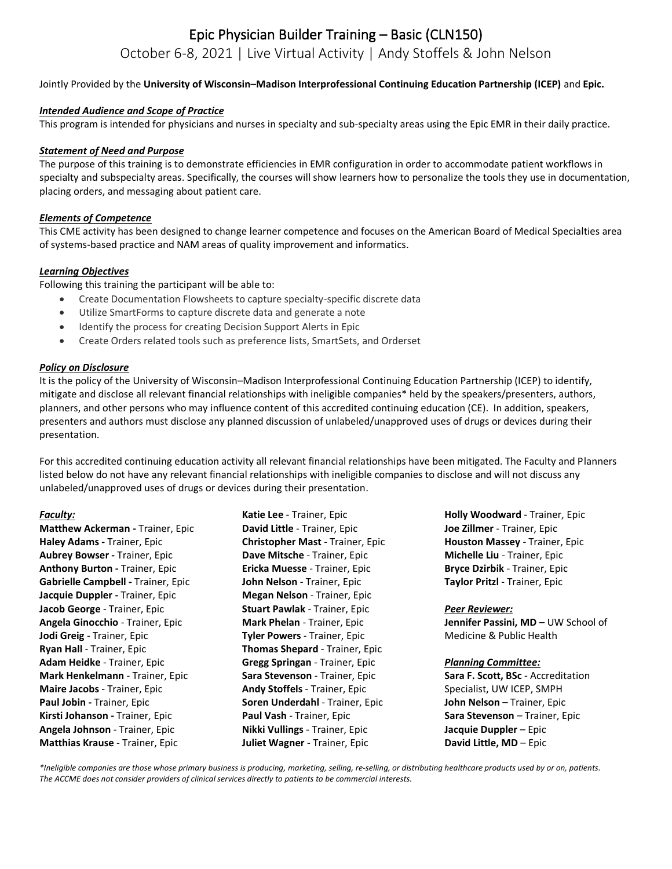# Epic Physician Builder Training – Basic (CLN150) October 6-8, 2021 | Live Virtual Activity | Andy Stoffels & John Nelson

Jointly Provided by the **University of Wisconsin–Madison Interprofessional Continuing Education Partnership (ICEP)** and **Epic.**

## *Intended Audience and Scope of Practice*

This program is intended for physicians and nurses in specialty and sub-specialty areas using the Epic EMR in their daily practice.

## *Statement of Need and Purpose*

The purpose of this training is to demonstrate efficiencies in EMR configuration in order to accommodate patient workflows in specialty and subspecialty areas. Specifically, the courses will show learners how to personalize the tools they use in documentation, placing orders, and messaging about patient care.

## *Elements of Competence*

This CME activity has been designed to change learner competence and focuses on the American Board of Medical Specialties area of systems-based practice and NAM areas of quality improvement and informatics.

## *Learning Objectives*

Following this training the participant will be able to:

- Create Documentation Flowsheets to capture specialty-specific discrete data
- Utilize SmartForms to capture discrete data and generate a note
- Identify the process for creating Decision Support Alerts in Epic
- Create Orders related tools such as preference lists, SmartSets, and Orderset

## *Policy on Disclosure*

It is the policy of the University of Wisconsin–Madison Interprofessional Continuing Education Partnership (ICEP) to identify, mitigate and disclose all relevant financial relationships with ineligible companies\* held by the speakers/presenters, authors, planners, and other persons who may influence content of this accredited continuing education (CE). In addition, speakers, presenters and authors must disclose any planned discussion of unlabeled/unapproved uses of drugs or devices during their presentation.

For this accredited continuing education activity all relevant financial relationships have been mitigated. The Faculty and Planners listed below do not have any relevant financial relationships with ineligible companies to disclose and will not discuss any unlabeled/unapproved uses of drugs or devices during their presentation.

## *Faculty:*

**Matthew Ackerman -** Trainer, Epic **Haley Adams -** Trainer, Epic **Aubrey Bowser -** Trainer, Epic **Anthony Burton -** Trainer, Epic **Gabrielle Campbell -** Trainer, Epic **Jacquie Duppler -** Trainer, Epic **Jacob George** - Trainer, Epic **Angela Ginocchio** - Trainer, Epic **Jodi Greig** - Trainer, Epic **Ryan Hall** - Trainer, Epic **Adam Heidke** - Trainer, Epic **Mark Henkelmann** - Trainer, Epic **Maire Jacobs** - Trainer, Epic **Paul Jobin -** Trainer, Epic **Kirsti Johanson -** Trainer, Epic **Angela Johnson** - Trainer, Epic **Matthias Krause** - Trainer, Epic

**Katie Lee** - Trainer, Epic **David Little** - Trainer, Epic **Christopher Mast** - Trainer, Epic **Dave Mitsche** - Trainer, Epic **Ericka Muesse** - Trainer, Epic **John Nelson** - Trainer, Epic **Megan Nelson** - Trainer, Epic **Stuart Pawlak** - Trainer, Epic **Mark Phelan** - Trainer, Epic **Tyler Powers** - Trainer, Epic **Thomas Shepard** - Trainer, Epic **Gregg Springan** - Trainer, Epic **Sara Stevenson** - Trainer, Epic **Andy Stoffels** - Trainer, Epic **Soren Underdahl** - Trainer, Epic **Paul Vash** - Trainer, Epic **Nikki Vullings** - Trainer, Epic **Juliet Wagner** - Trainer, Epic

**Holly Woodward** - Trainer, Epic **Joe Zillmer** - Trainer, Epic **Houston Massey** - Trainer, Epic **Michelle Liu** - Trainer, Epic **Bryce Dzirbik** - Trainer, Epic **Taylor Pritzl** - Trainer, Epic

#### *Peer Reviewer:*

**Jennifer Passini, MD** – UW School of Medicine & Public Health

## *Planning Committee:*

**Sara F. Scott, BSc** - Accreditation Specialist, UW ICEP, SMPH **John Nelson** – Trainer, Epic **Sara Stevenson** – Trainer, Epic **Jacquie Duppler** – Epic **David Little, MD** – Epic

*\*Ineligible companies are those whose primary business is producing, marketing, selling, re-selling, or distributing healthcare products used by or on, patients. The ACCME does not consider providers of clinical services directly to patients to be commercial interests.*